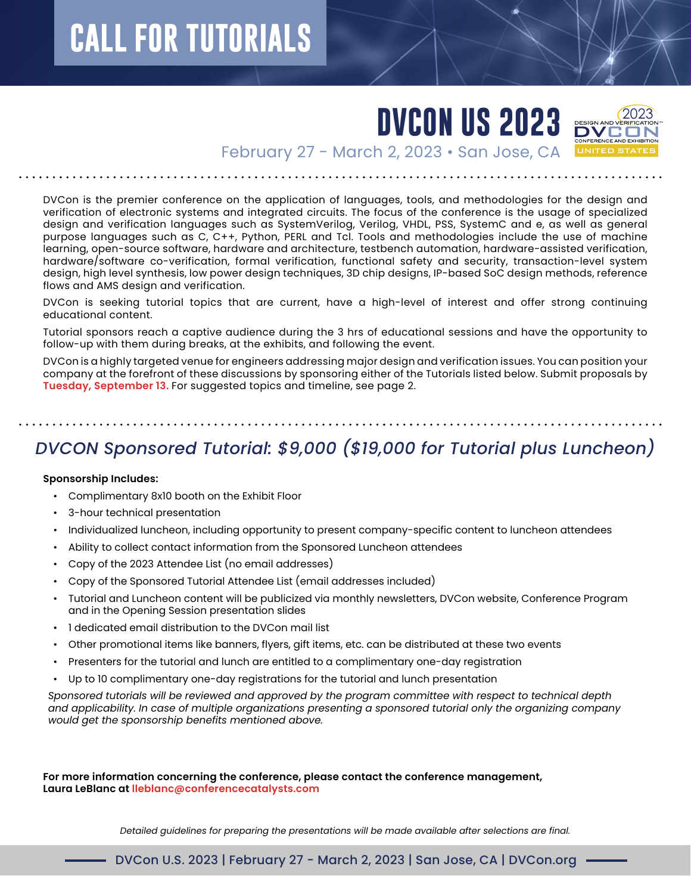# **CALL FOR TUTORIALS**

# **DVCON US 2023**

2023 كا نا **UNITED STATE** 

February 27 - March 2, 2023 • San Jose, CA

DVCon is the premier conference on the application of languages, tools, and methodologies for the design and verification of electronic systems and integrated circuits. The focus of the conference is the usage of specialized design and verification languages such as SystemVerilog, Verilog, VHDL, PSS, SystemC and e, as well as general purpose languages such as C, C++, Python, PERL and Tcl. Tools and methodologies include the use of machine learning, open-source software, hardware and architecture, testbench automation, hardware-assisted verification, hardware/software co-verification, formal verification, functional safety and security, transaction-level system design, high level synthesis, low power design techniques, 3D chip designs, IP-based SoC design methods, reference flows and AMS design and verification.

DVCon is seeking tutorial topics that are current, have a high-level of interest and offer strong continuing educational content.

Tutorial sponsors reach a captive audience during the 3 hrs of educational sessions and have the opportunity to follow-up with them during breaks, at the exhibits, and following the event.

DVCon is a highly targeted venue for engineers addressing major design and verification issues. You can position your company at the forefront of these discussions by sponsoring either of the Tutorials listed below. Submit proposals by **Tuesday, September 13.** For suggested topics and timeline, see page 2.

# *DVCON Sponsored Tutorial: \$9,000 (\$19,000 for Tutorial plus Luncheon)*

#### **Sponsorship Includes:**

- Complimentary 8x10 booth on the Exhibit Floor
- 3-hour technical presentation
- Individualized luncheon, including opportunity to present company-specific content to luncheon attendees
- Ability to collect contact information from the Sponsored Luncheon attendees
- Copy of the 2023 Attendee List (no email addresses)
- Copy of the Sponsored Tutorial Attendee List (email addresses included)
- Tutorial and Luncheon content will be publicized via monthly newsletters, DVCon website, Conference Program and in the Opening Session presentation slides
- 1 dedicated email distribution to the DVCon mail list
- Other promotional items like banners, flyers, gift items, etc. can be distributed at these two events
- Presenters for the tutorial and lunch are entitled to a complimentary one-day registration
- Up to 10 complimentary one-day registrations for the tutorial and lunch presentation

*Sponsored tutorials will be reviewed and approved by the program committee with respect to technical depth and applicability. In case of multiple organizations presenting a sponsored tutorial only the organizing company would get the sponsorship benefits mentioned above.*

**For more information concerning the conference, please contact the conference management, Laura LeBlanc at [lleblanc@conferencecatalysts.com](mailto:lleblanc%40conferencecatalysts.com%20?subject=)** 

*Detailed guidelines for preparing the presentations will be made available after selections are final.*

DVCon U.S. 2023 | February 27 - March 2, 2023 | San Jose, CA | DVCon.org